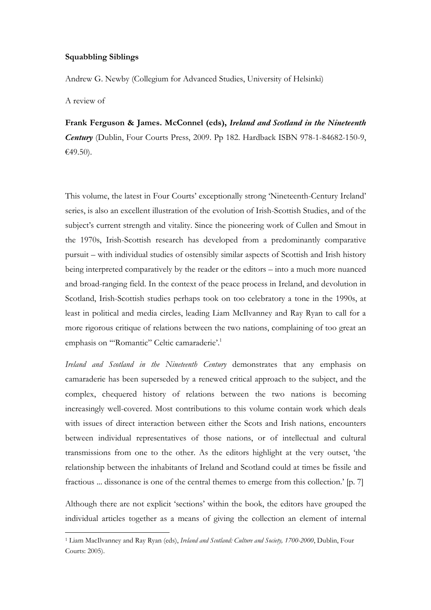## Squabbling Siblings

Andrew G. Newby (Collegium for Advanced Studies, University of Helsinki)

A review of

 $\overline{a}$ 

Frank Ferguson & James. McConnel (eds), Ireland and Scotland in the Nineteenth Century (Dublin, Four Courts Press, 2009. Pp 182. Hardback ISBN 978-1-84682-150-9, €49.50).

This volume, the latest in Four Courts' exceptionally strong 'Nineteenth-Century Ireland' series, is also an excellent illustration of the evolution of Irish-Scottish Studies, and of the subject's current strength and vitality. Since the pioneering work of Cullen and Smout in the 1970s, Irish-Scottish research has developed from a predominantly comparative pursuit – with individual studies of ostensibly similar aspects of Scottish and Irish history being interpreted comparatively by the reader or the editors – into a much more nuanced and broad-ranging field. In the context of the peace process in Ireland, and devolution in Scotland, Irish-Scottish studies perhaps took on too celebratory a tone in the 1990s, at least in political and media circles, leading Liam McIlvanney and Ray Ryan to call for a more rigorous critique of relations between the two nations, complaining of too great an emphasis on "'Romantic" Celtic camaraderie'.<sup>1</sup>

Ireland and Scotland in the Nineteenth Century demonstrates that any emphasis on camaraderie has been superseded by a renewed critical approach to the subject, and the complex, chequered history of relations between the two nations is becoming increasingly well-covered. Most contributions to this volume contain work which deals with issues of direct interaction between either the Scots and Irish nations, encounters between individual representatives of those nations, or of intellectual and cultural transmissions from one to the other. As the editors highlight at the very outset, 'the relationship between the inhabitants of Ireland and Scotland could at times be fissile and fractious ... dissonance is one of the central themes to emerge from this collection.' [p. 7]

Although there are not explicit 'sections' within the book, the editors have grouped the individual articles together as a means of giving the collection an element of internal

<sup>&</sup>lt;sup>1</sup> Liam MacIlvanney and Ray Ryan (eds), *Ireland and Scotland: Culture and Society, 1700-2000*, Dublin, Four Courts: 2005).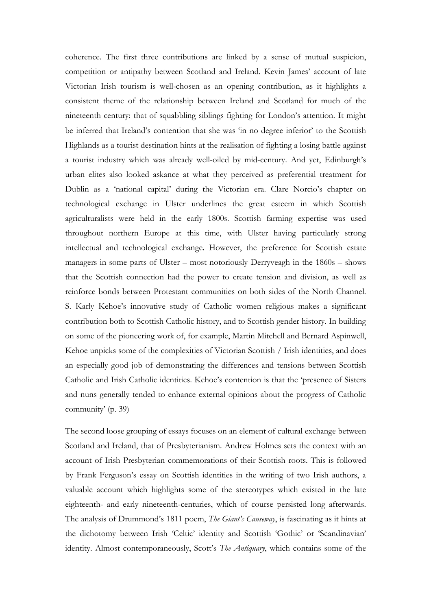coherence. The first three contributions are linked by a sense of mutual suspicion, competition or antipathy between Scotland and Ireland. Kevin James' account of late Victorian Irish tourism is well-chosen as an opening contribution, as it highlights a consistent theme of the relationship between Ireland and Scotland for much of the nineteenth century: that of squabbling siblings fighting for London's attention. It might be inferred that Ireland's contention that she was 'in no degree inferior' to the Scottish Highlands as a tourist destination hints at the realisation of fighting a losing battle against a tourist industry which was already well-oiled by mid-century. And yet, Edinburgh's urban elites also looked askance at what they perceived as preferential treatment for Dublin as a 'national capital' during the Victorian era. Clare Norcio's chapter on technological exchange in Ulster underlines the great esteem in which Scottish agriculturalists were held in the early 1800s. Scottish farming expertise was used throughout northern Europe at this time, with Ulster having particularly strong intellectual and technological exchange. However, the preference for Scottish estate managers in some parts of Ulster – most notoriously Derryveagh in the 1860s – shows that the Scottish connection had the power to create tension and division, as well as reinforce bonds between Protestant communities on both sides of the North Channel. S. Karly Kehoe's innovative study of Catholic women religious makes a significant contribution both to Scottish Catholic history, and to Scottish gender history. In building on some of the pioneering work of, for example, Martin Mitchell and Bernard Aspinwell, Kehoe unpicks some of the complexities of Victorian Scottish / Irish identities, and does an especially good job of demonstrating the differences and tensions between Scottish Catholic and Irish Catholic identities. Kehoe's contention is that the 'presence of Sisters and nuns generally tended to enhance external opinions about the progress of Catholic community' (p. 39)

The second loose grouping of essays focuses on an element of cultural exchange between Scotland and Ireland, that of Presbyterianism. Andrew Holmes sets the context with an account of Irish Presbyterian commemorations of their Scottish roots. This is followed by Frank Ferguson's essay on Scottish identities in the writing of two Irish authors, a valuable account which highlights some of the stereotypes which existed in the late eighteenth- and early nineteenth-centuries, which of course persisted long afterwards. The analysis of Drummond's 1811 poem, *The Giant's Causeway*, is fascinating as it hints at the dichotomy between Irish 'Celtic' identity and Scottish 'Gothic' or 'Scandinavian' identity. Almost contemporaneously, Scott's The Antiquary, which contains some of the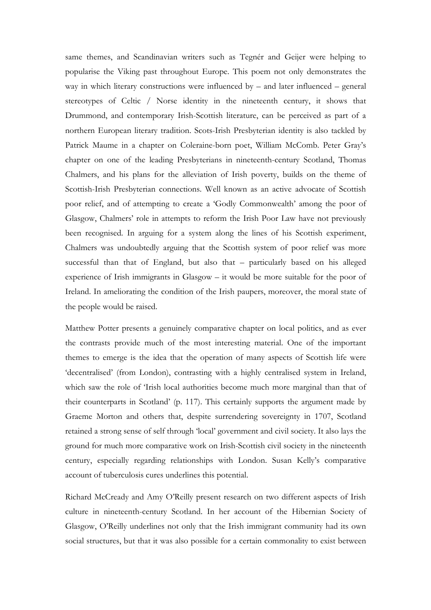same themes, and Scandinavian writers such as Tegnér and Geijer were helping to popularise the Viking past throughout Europe. This poem not only demonstrates the way in which literary constructions were influenced by  $-$  and later influenced  $-$  general stereotypes of Celtic / Norse identity in the nineteenth century, it shows that Drummond, and contemporary Irish-Scottish literature, can be perceived as part of a northern European literary tradition. Scots-Irish Presbyterian identity is also tackled by Patrick Maume in a chapter on Coleraine-born poet, William McComb. Peter Gray's chapter on one of the leading Presbyterians in nineteenth-century Scotland, Thomas Chalmers, and his plans for the alleviation of Irish poverty, builds on the theme of Scottish-Irish Presbyterian connections. Well known as an active advocate of Scottish poor relief, and of attempting to create a 'Godly Commonwealth' among the poor of Glasgow, Chalmers' role in attempts to reform the Irish Poor Law have not previously been recognised. In arguing for a system along the lines of his Scottish experiment, Chalmers was undoubtedly arguing that the Scottish system of poor relief was more successful than that of England, but also that – particularly based on his alleged experience of Irish immigrants in Glasgow – it would be more suitable for the poor of Ireland. In ameliorating the condition of the Irish paupers, moreover, the moral state of the people would be raised.

Matthew Potter presents a genuinely comparative chapter on local politics, and as ever the contrasts provide much of the most interesting material. One of the important themes to emerge is the idea that the operation of many aspects of Scottish life were 'decentralised' (from London), contrasting with a highly centralised system in Ireland, which saw the role of 'Irish local authorities become much more marginal than that of their counterparts in Scotland' (p. 117). This certainly supports the argument made by Graeme Morton and others that, despite surrendering sovereignty in 1707, Scotland retained a strong sense of self through 'local' government and civil society. It also lays the ground for much more comparative work on Irish-Scottish civil society in the nineteenth century, especially regarding relationships with London. Susan Kelly's comparative account of tuberculosis cures underlines this potential.

Richard McCready and Amy O'Reilly present research on two different aspects of Irish culture in nineteenth-century Scotland. In her account of the Hibernian Society of Glasgow, O'Reilly underlines not only that the Irish immigrant community had its own social structures, but that it was also possible for a certain commonality to exist between